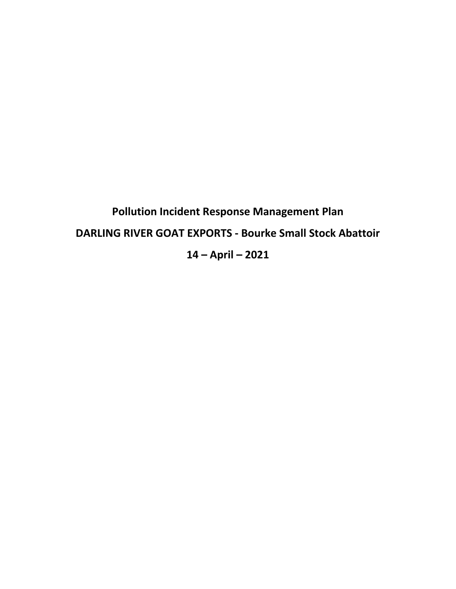**Pollution Incident Response Management Plan DARLING RIVER GOAT EXPORTS - Bourke Small Stock Abattoir 14 – April – 2021**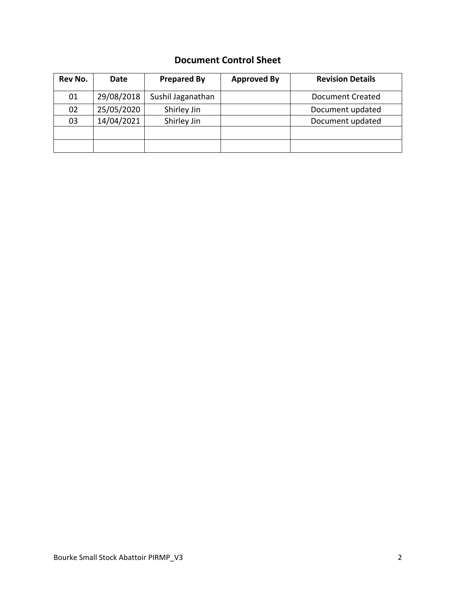### **Document Control Sheet**

| Rev No. | Date       | <b>Prepared By</b> | <b>Approved By</b> | <b>Revision Details</b> |
|---------|------------|--------------------|--------------------|-------------------------|
| 01      | 29/08/2018 | Sushil Jaganathan  |                    | <b>Document Created</b> |
| 02      | 25/05/2020 | Shirley Jin        |                    | Document updated        |
| 03      | 14/04/2021 | Shirley Jin        |                    | Document updated        |
|         |            |                    |                    |                         |
|         |            |                    |                    |                         |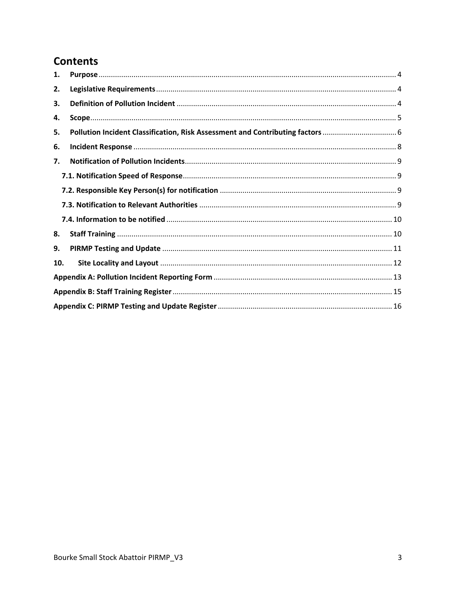## **Contents**

| 1.  |  |
|-----|--|
| 2.  |  |
| 3.  |  |
| 4.  |  |
| 5.  |  |
| 6.  |  |
| 7.  |  |
|     |  |
|     |  |
|     |  |
|     |  |
| 8.  |  |
| 9.  |  |
| 10. |  |
|     |  |
|     |  |
|     |  |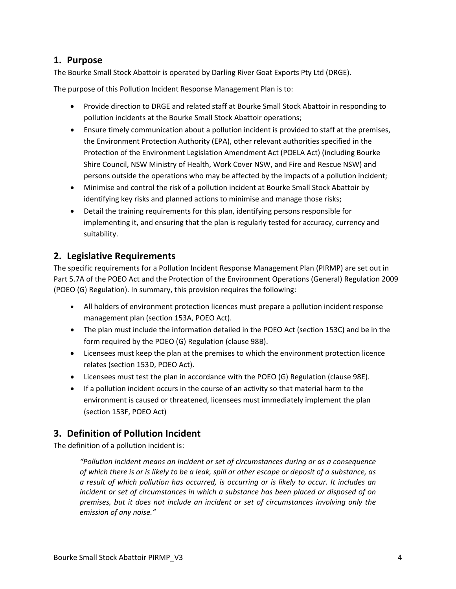#### <span id="page-3-0"></span>**1. Purpose**

The Bourke Small Stock Abattoir is operated by Darling River Goat Exports Pty Ltd (DRGE).

The purpose of this Pollution Incident Response Management Plan is to:

- Provide direction to DRGE and related staff at Bourke Small Stock Abattoir in responding to pollution incidents at the Bourke Small Stock Abattoir operations;
- Ensure timely communication about a pollution incident is provided to staff at the premises, the Environment Protection Authority (EPA), other relevant authorities specified in the Protection of the Environment Legislation Amendment Act (POELA Act) (including Bourke Shire Council, NSW Ministry of Health, Work Cover NSW, and Fire and Rescue NSW) and persons outside the operations who may be affected by the impacts of a pollution incident;
- Minimise and control the risk of a pollution incident at Bourke Small Stock Abattoir by identifying key risks and planned actions to minimise and manage those risks;
- Detail the training requirements for this plan, identifying persons responsible for implementing it, and ensuring that the plan is regularly tested for accuracy, currency and suitability.

#### <span id="page-3-1"></span>**2. Legislative Requirements**

The specific requirements for a Pollution Incident Response Management Plan (PIRMP) are set out in Part 5.7A of the POEO Act and the Protection of the Environment Operations (General) Regulation 2009 (POEO (G) Regulation). In summary, this provision requires the following:

- All holders of environment protection licences must prepare a pollution incident response management plan (section 153A, POEO Act).
- The plan must include the information detailed in the POEO Act (section 153C) and be in the form required by the POEO (G) Regulation (clause 98B).
- Licensees must keep the plan at the premises to which the environment protection licence relates (section 153D, POEO Act).
- Licensees must test the plan in accordance with the POEO (G) Regulation (clause 98E).
- If a pollution incident occurs in the course of an activity so that material harm to the environment is caused or threatened, licensees must immediately implement the plan (section 153F, POEO Act)

#### <span id="page-3-2"></span>**3. Definition of Pollution Incident**

The definition of a pollution incident is:

*"Pollution incident means an incident or set of circumstances during or as a consequence of which there is or is likely to be a leak, spill or other escape or deposit of a substance, as a result of which pollution has occurred, is occurring or is likely to occur. It includes an incident or set of circumstances in which a substance has been placed or disposed of on premises, but it does not include an incident or set of circumstances involving only the emission of any noise."*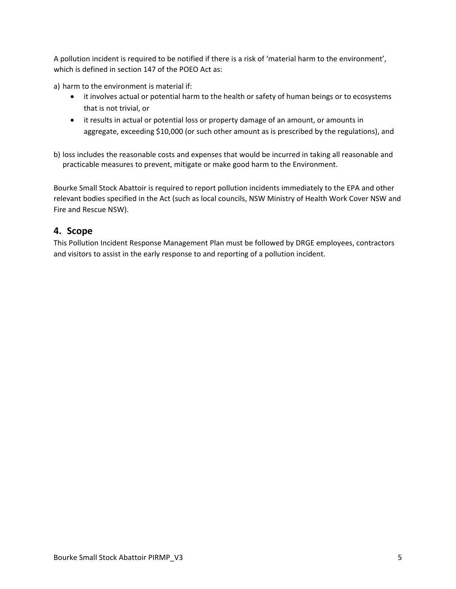A pollution incident is required to be notified if there is a risk of 'material harm to the environment', which is defined in section 147 of the POEO Act as:

a) harm to the environment is material if:

- it involves actual or potential harm to the health or safety of human beings or to ecosystems that is not trivial, or
- it results in actual or potential loss or property damage of an amount, or amounts in aggregate, exceeding \$10,000 (or such other amount as is prescribed by the regulations), and
- b) loss includes the reasonable costs and expenses that would be incurred in taking all reasonable and practicable measures to prevent, mitigate or make good harm to the Environment.

Bourke Small Stock Abattoir is required to report pollution incidents immediately to the EPA and other relevant bodies specified in the Act (such as local councils, NSW Ministry of Health Work Cover NSW and Fire and Rescue NSW).

#### <span id="page-4-0"></span>**4. Scope**

This Pollution Incident Response Management Plan must be followed by DRGE employees, contractors and visitors to assist in the early response to and reporting of a pollution incident.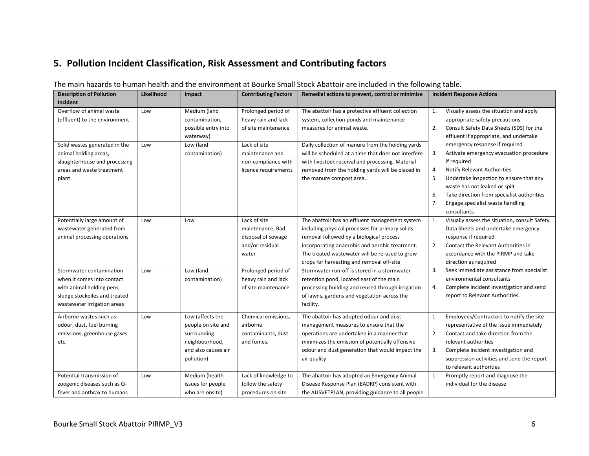## **5. Pollution Incident Classification, Risk Assessment and Contributing factors**

<span id="page-5-0"></span>

| <b>Description of Pollution</b> | Likelihood | Impact              | <b>Contributing Factors</b> | Remedial actions to prevent, control or minimise    | <b>Incident Response Actions</b> |                                               |
|---------------------------------|------------|---------------------|-----------------------------|-----------------------------------------------------|----------------------------------|-----------------------------------------------|
| Incident                        |            |                     |                             |                                                     |                                  |                                               |
| Overflow of animal waste        | Low        | Medium (land        | Prolonged period of         | The abattoir has a protective effluent collection   | 1.                               | Visually assess the situation and apply       |
| (effluent) to the environment   |            | contamination,      | heavy rain and lack         | system, collection ponds and maintenance            |                                  | appropriate safety precautions                |
|                                 |            | possible entry into | of site maintenance         | measures for animal waste.                          | 2.                               | Consult Safety Data Sheets (SDS) for the      |
|                                 |            | waterway)           |                             |                                                     |                                  | effluent if appropriate, and undertake        |
| Solid wastes generated in the   | Low        | Low (land           | Lack of site                | Daily collection of manure from the holding yards   |                                  | emergency response if required                |
| animal holding areas,           |            | contamination)      | maintenance and             | will be scheduled at a time that does not interfere | 3.                               | Activate emergency evacuation procedure       |
| slaughterhouse and processing   |            |                     | non-compliance with         | with livestock receival and processing. Material    |                                  | if required                                   |
| areas and waste treatment       |            |                     | licence requirements        | removed from the holding yards will be placed in    | 4.                               | Notify Relevant Authorities                   |
| plant.                          |            |                     |                             | the manure compost area.                            | 5.                               | Undertake inspection to ensure that any       |
|                                 |            |                     |                             |                                                     |                                  | waste has not leaked or spilt                 |
|                                 |            |                     |                             |                                                     | 6.                               | Take direction from specialist authorities    |
|                                 |            |                     |                             |                                                     | 7.                               | Engage specialist waste handling              |
|                                 |            |                     |                             |                                                     |                                  | consultants.                                  |
| Potentially large amount of     | Low        | Low                 | Lack of site                | The abattoir has an effluent management system      | 1.                               | Visually assess the situation, consult Safety |
| wastewater generated from       |            |                     | maintenance, Bad            | including physical processes for primary solids     |                                  | Data Sheets and undertake emergency           |
| animal processing operations    |            |                     | disposal of sewage          | removal followed by a biological process            |                                  | response if required                          |
|                                 |            |                     | and/or residual             | incorporating anaerobic and aerobic treatment.      | 2.                               | Contact the Relevant Authorities in           |
|                                 |            |                     | water                       | The treated wastewater will be re-used to grow      |                                  | accordance with the PIRMP and take            |
|                                 |            |                     |                             | crops for harvesting and removal off-site           |                                  | direction as required                         |
| Stormwater contamination        | Low        | Low (land           | Prolonged period of         | Stormwater run-off is stored in a stormwater        | 3.                               | Seek immediate assistance from specialist     |
| when it comes into contact      |            | contamination)      | heavy rain and lack         | retention pond, located east of the main            |                                  | environmental consultants                     |
| with animal holding pens,       |            |                     | of site maintenance         | processing building and reused through irrigation   | 4.                               | Complete incident investigation and send      |
| sludge stockpiles and treated   |            |                     |                             | of lawns, gardens and vegetation across the         |                                  | report to Relevant Authorities.               |
| wastewater irrigation areas     |            |                     |                             | facility.                                           |                                  |                                               |
| Airborne wastes such as         | Low        | Low (affects the    | Chemical emissions,         | The abattoir has adopted odour and dust             | 1.                               | Employees/Contractors to notify the site      |
| odour, dust, fuel burning       |            | people on site and  | airborne                    | management measures to ensure that the              |                                  | representative of the issue immediately       |
| emissions, greenhouse gases     |            | surrounding         | contaminants, dust          | operations are undertaken in a manner that          | 2.                               | Contact and take direction from the           |
| etc.                            |            | neighbourhood,      | and fumes.                  | minimizes the emission of potentially offensive     |                                  | relevant authorities                          |
|                                 |            | and also causes air |                             | odour and dust generation that would impact the     | 3.                               | Complete incident investigation and           |
|                                 |            | pollution)          |                             | air quality                                         |                                  | suppression activities and send the report    |
|                                 |            |                     |                             |                                                     |                                  | to relevant authorities                       |
| Potential transmission of       | Low        | Medium (health      | Lack of knowledge to        | The abattoir has adopted an Emergency Animal        | 1.                               | Promptly report and diagnose the              |
| zoogenic diseases such as Q-    |            | issues for people   | follow the safety           | Disease Response Plan (EADRP) consistent with       |                                  | individual for the disease                    |
| fever and anthrax to humans     |            | who are onsite)     | procedures on site          | the AUSVETPLAN, providing guidance to all people    |                                  |                                               |

#### The main hazards to human health and the environment at Bourke Small Stock Abattoir are included in the following table.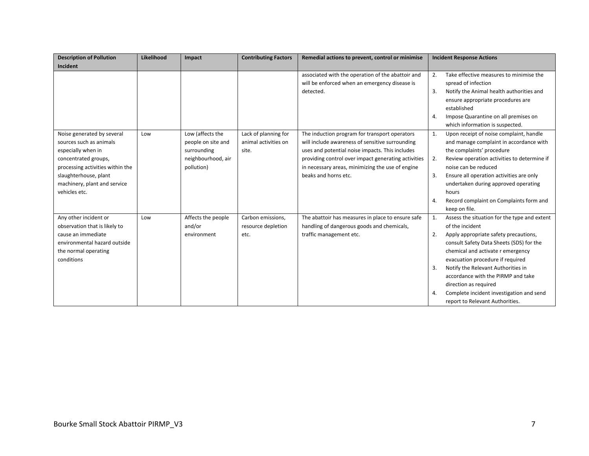| <b>Description of Pollution</b>  | Likelihood | Impact             | <b>Contributing Factors</b> | Remedial actions to prevent, control or minimise    | <b>Incident Response Actions</b> |                                              |
|----------------------------------|------------|--------------------|-----------------------------|-----------------------------------------------------|----------------------------------|----------------------------------------------|
| Incident                         |            |                    |                             |                                                     |                                  |                                              |
|                                  |            |                    |                             | associated with the operation of the abattoir and   | 2.                               | Take effective measures to minimise the      |
|                                  |            |                    |                             | will be enforced when an emergency disease is       |                                  | spread of infection                          |
|                                  |            |                    |                             | detected.                                           | 3.                               | Notify the Animal health authorities and     |
|                                  |            |                    |                             |                                                     |                                  | ensure appropriate procedures are            |
|                                  |            |                    |                             |                                                     |                                  | established                                  |
|                                  |            |                    |                             |                                                     | $\mathbf{4}$                     | Impose Quarantine on all premises on         |
|                                  |            |                    |                             |                                                     |                                  | which information is suspected.              |
| Noise generated by several       | Low        | Low (affects the   | Lack of planning for        | The induction program for transport operators       | 1.                               | Upon receipt of noise complaint, handle      |
| sources such as animals          |            | people on site and | animal activities on        | will include awareness of sensitive surrounding     |                                  | and manage complaint in accordance with      |
| especially when in               |            | surrounding        | site.                       | uses and potential noise impacts. This includes     |                                  | the complaints' procedure                    |
| concentrated groups,             |            | neighbourhood, air |                             | providing control over impact generating activities | 2.                               | Review operation activities to determine if  |
| processing activities within the |            | pollution)         |                             | in necessary areas, minimizing the use of engine    |                                  | noise can be reduced                         |
| slaughterhouse, plant            |            |                    |                             | beaks and horns etc.                                | 3.                               | Ensure all operation activities are only     |
| machinery, plant and service     |            |                    |                             |                                                     |                                  | undertaken during approved operating         |
| vehicles etc.                    |            |                    |                             |                                                     |                                  | hours                                        |
|                                  |            |                    |                             |                                                     | $\mathbf{4}$                     | Record complaint on Complaints form and      |
|                                  |            |                    |                             |                                                     |                                  | keep on file.                                |
| Any other incident or            | Low        | Affects the people | Carbon emissions,           | The abattoir has measures in place to ensure safe   | 1.                               | Assess the situation for the type and extent |
| observation that is likely to    |            | and/or             | resource depletion          | handling of dangerous goods and chemicals,          |                                  | of the incident                              |
| cause an immediate               |            | environment        | etc.                        | traffic management etc.                             | 2.                               | Apply appropriate safety precautions,        |
| environmental hazard outside     |            |                    |                             |                                                     |                                  | consult Safety Data Sheets (SDS) for the     |
| the normal operating             |            |                    |                             |                                                     |                                  | chemical and activate r emergency            |
| conditions                       |            |                    |                             |                                                     |                                  | evacuation procedure if required             |
|                                  |            |                    |                             |                                                     | 3.                               | Notify the Relevant Authorities in           |
|                                  |            |                    |                             |                                                     |                                  | accordance with the PIRMP and take           |
|                                  |            |                    |                             |                                                     |                                  | direction as required                        |
|                                  |            |                    |                             |                                                     | 4.                               | Complete incident investigation and send     |
|                                  |            |                    |                             |                                                     |                                  | report to Relevant Authorities.              |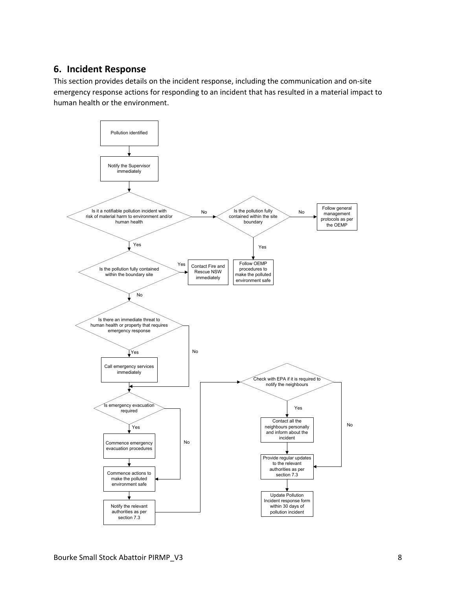#### <span id="page-7-0"></span>**6. Incident Response**

This section provides details on the incident response, including the communication and on-site emergency response actions for responding to an incident that has resulted in a material impact to human health or the environment.

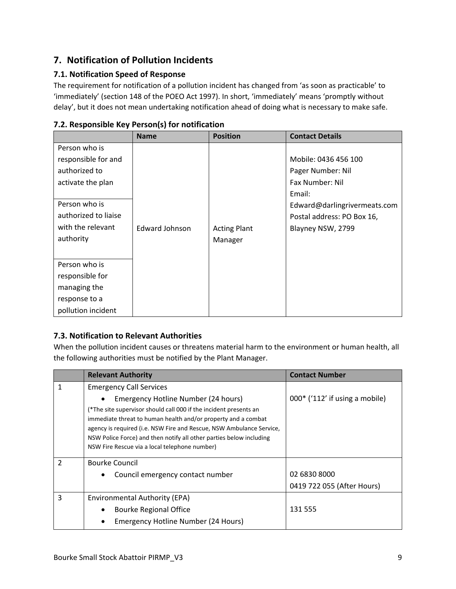## <span id="page-8-0"></span>**7. Notification of Pollution Incidents**

#### <span id="page-8-1"></span>**7.1. Notification Speed of Response**

The requirement for notification of a pollution incident has changed from 'as soon as practicable' to 'immediately' (section 148 of the POEO Act 1997). In short, 'immediately' means 'promptly without delay', but it does not mean undertaking notification ahead of doing what is necessary to make safe.

|                      | <b>Name</b>           | <b>Position</b>     | <b>Contact Details</b>       |
|----------------------|-----------------------|---------------------|------------------------------|
| Person who is        |                       |                     |                              |
| responsible for and  |                       |                     | Mobile: 0436 456 100         |
| authorized to        |                       |                     | Pager Number: Nil            |
| activate the plan    |                       |                     | Fax Number: Nil              |
|                      |                       |                     | Email:                       |
| Person who is        |                       |                     | Edward@darlingrivermeats.com |
| authorized to liaise |                       |                     | Postal address: PO Box 16,   |
| with the relevant    | <b>Edward Johnson</b> | <b>Acting Plant</b> | Blayney NSW, 2799            |
| authority            |                       | Manager             |                              |
|                      |                       |                     |                              |
| Person who is        |                       |                     |                              |
| responsible for      |                       |                     |                              |
| managing the         |                       |                     |                              |
| response to a        |                       |                     |                              |
| pollution incident   |                       |                     |                              |

#### <span id="page-8-2"></span>**7.2. Responsible Key Person(s) for notification**

#### <span id="page-8-3"></span>**7.3. Notification to Relevant Authorities**

When the pollution incident causes or threatens material harm to the environment or human health, all the following authorities must be notified by the Plant Manager.

|   | <b>Relevant Authority</b>                                                                                                                                                                                                                                                                                                                                                 | <b>Contact Number</b>            |
|---|---------------------------------------------------------------------------------------------------------------------------------------------------------------------------------------------------------------------------------------------------------------------------------------------------------------------------------------------------------------------------|----------------------------------|
| 1 | <b>Emergency Call Services</b>                                                                                                                                                                                                                                                                                                                                            |                                  |
|   | Emergency Hotline Number (24 hours)<br>(*The site supervisor should call 000 if the incident presents an<br>immediate threat to human health and/or property and a combat<br>agency is required (i.e. NSW Fire and Rescue, NSW Ambulance Service,<br>NSW Police Force) and then notify all other parties below including<br>NSW Fire Rescue via a local telephone number) | $000*$ ('112' if using a mobile) |
| 2 | <b>Bourke Council</b>                                                                                                                                                                                                                                                                                                                                                     |                                  |
|   | Council emergency contact number<br>٠                                                                                                                                                                                                                                                                                                                                     | 02 6830 8000                     |
|   |                                                                                                                                                                                                                                                                                                                                                                           | 0419 722 055 (After Hours)       |
| 3 | Environmental Authority (EPA)                                                                                                                                                                                                                                                                                                                                             |                                  |
|   | <b>Bourke Regional Office</b>                                                                                                                                                                                                                                                                                                                                             | 131 555                          |
|   | Emergency Hotline Number (24 Hours)                                                                                                                                                                                                                                                                                                                                       |                                  |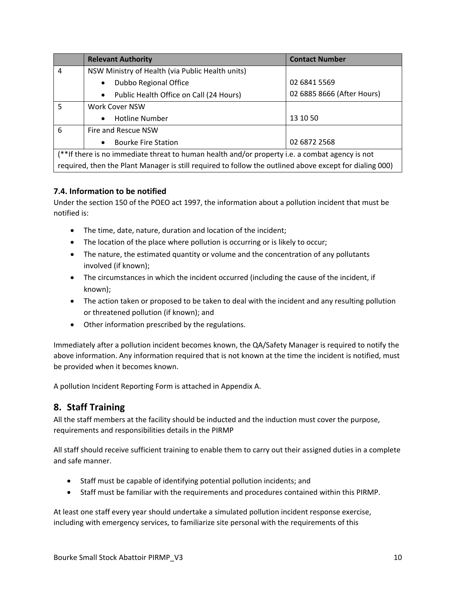|                | <b>Relevant Authority</b>                                                                               | <b>Contact Number</b>      |  |  |  |  |
|----------------|---------------------------------------------------------------------------------------------------------|----------------------------|--|--|--|--|
| $\overline{4}$ | NSW Ministry of Health (via Public Health units)                                                        |                            |  |  |  |  |
|                | Dubbo Regional Office<br>$\bullet$                                                                      | 02 6841 5569               |  |  |  |  |
|                | Public Health Office on Call (24 Hours)<br>$\bullet$                                                    | 02 6885 8666 (After Hours) |  |  |  |  |
| 5              | <b>Work Cover NSW</b>                                                                                   |                            |  |  |  |  |
|                | <b>Hotline Number</b><br>$\bullet$                                                                      | 13 10 50                   |  |  |  |  |
| 6              | Fire and Rescue NSW                                                                                     |                            |  |  |  |  |
|                | <b>Bourke Fire Station</b><br>$\bullet$                                                                 | 02 6872 2568               |  |  |  |  |
|                | (**If there is no immediate threat to human health and/or property i.e. a combat agency is not          |                            |  |  |  |  |
|                | required, then the Plant Manager is still required to follow the outlined above except for dialing 000) |                            |  |  |  |  |

#### <span id="page-9-0"></span>**7.4. Information to be notified**

Under the section 150 of the POEO act 1997, the information about a pollution incident that must be notified is:

- The time, date, nature, duration and location of the incident;
- The location of the place where pollution is occurring or is likely to occur;
- The nature, the estimated quantity or volume and the concentration of any pollutants involved (if known);
- The circumstances in which the incident occurred (including the cause of the incident, if known);
- The action taken or proposed to be taken to deal with the incident and any resulting pollution or threatened pollution (if known); and
- Other information prescribed by the regulations.

Immediately after a pollution incident becomes known, the QA/Safety Manager is required to notify the above information. Any information required that is not known at the time the incident is notified, must be provided when it becomes known.

A pollution Incident Reporting Form is attached in Appendix A.

#### <span id="page-9-1"></span>**8. Staff Training**

All the staff members at the facility should be inducted and the induction must cover the purpose, requirements and responsibilities details in the PIRMP

All staff should receive sufficient training to enable them to carry out their assigned duties in a complete and safe manner.

- Staff must be capable of identifying potential pollution incidents; and
- Staff must be familiar with the requirements and procedures contained within this PIRMP.

At least one staff every year should undertake a simulated pollution incident response exercise, including with emergency services, to familiarize site personal with the requirements of this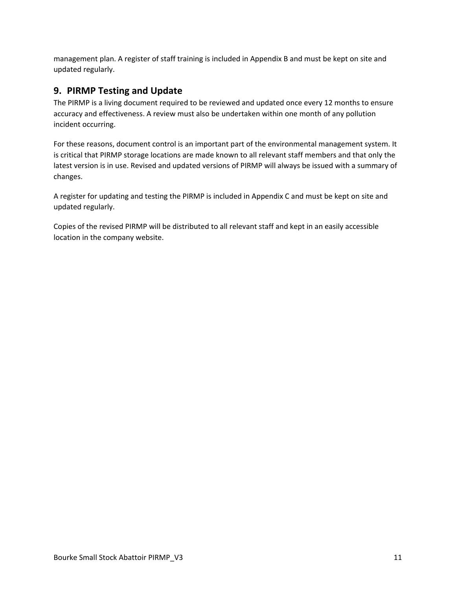management plan. A register of staff training is included in Appendix B and must be kept on site and updated regularly.

#### <span id="page-10-0"></span>**9. PIRMP Testing and Update**

The PIRMP is a living document required to be reviewed and updated once every 12 months to ensure accuracy and effectiveness. A review must also be undertaken within one month of any pollution incident occurring.

For these reasons, document control is an important part of the environmental management system. It is critical that PIRMP storage locations are made known to all relevant staff members and that only the latest version is in use. Revised and updated versions of PIRMP will always be issued with a summary of changes.

A register for updating and testing the PIRMP is included in Appendix C and must be kept on site and updated regularly.

Copies of the revised PIRMP will be distributed to all relevant staff and kept in an easily accessible location in the company website.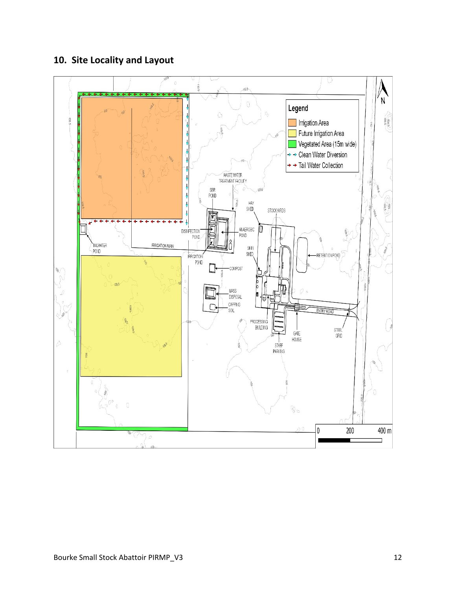## <span id="page-11-0"></span>**10. Site Locality and Layout**

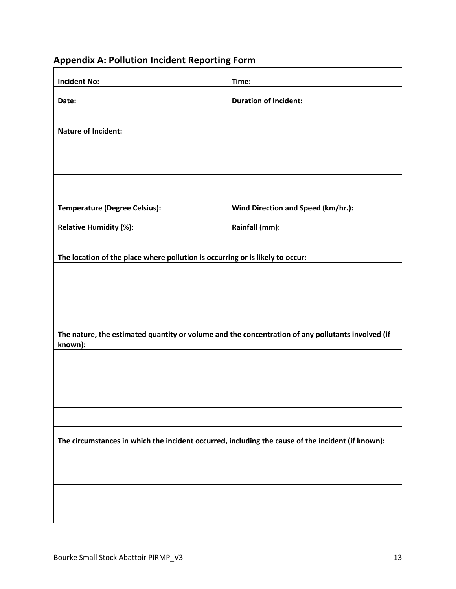<span id="page-12-0"></span>

| <b>Appendix A: Pollution Incident Reporting Form</b> |  |  |  |
|------------------------------------------------------|--|--|--|
|------------------------------------------------------|--|--|--|

| <b>Incident No:</b>                                                                                          | Time:                                                                                                           |
|--------------------------------------------------------------------------------------------------------------|-----------------------------------------------------------------------------------------------------------------|
| Date:                                                                                                        | <b>Duration of Incident:</b>                                                                                    |
|                                                                                                              |                                                                                                                 |
| <b>Nature of Incident:</b>                                                                                   |                                                                                                                 |
|                                                                                                              |                                                                                                                 |
|                                                                                                              |                                                                                                                 |
|                                                                                                              |                                                                                                                 |
| <b>Temperature (Degree Celsius):</b>                                                                         | Wind Direction and Speed (km/hr.):                                                                              |
| <b>Relative Humidity (%):</b>                                                                                | Rainfall (mm): Note that the set of the set of the set of the set of the set of the set of the set of the set o |
|                                                                                                              |                                                                                                                 |
| The location of the place where pollution is occurring or is likely to occur:                                |                                                                                                                 |
|                                                                                                              |                                                                                                                 |
|                                                                                                              |                                                                                                                 |
|                                                                                                              |                                                                                                                 |
|                                                                                                              |                                                                                                                 |
| The nature, the estimated quantity or volume and the concentration of any pollutants involved (if<br>known): |                                                                                                                 |
|                                                                                                              |                                                                                                                 |
|                                                                                                              |                                                                                                                 |
|                                                                                                              |                                                                                                                 |
|                                                                                                              |                                                                                                                 |
| The circumstances in which the incident occurred, including the cause of the incident (if known):            |                                                                                                                 |
|                                                                                                              |                                                                                                                 |
|                                                                                                              |                                                                                                                 |
|                                                                                                              |                                                                                                                 |
|                                                                                                              |                                                                                                                 |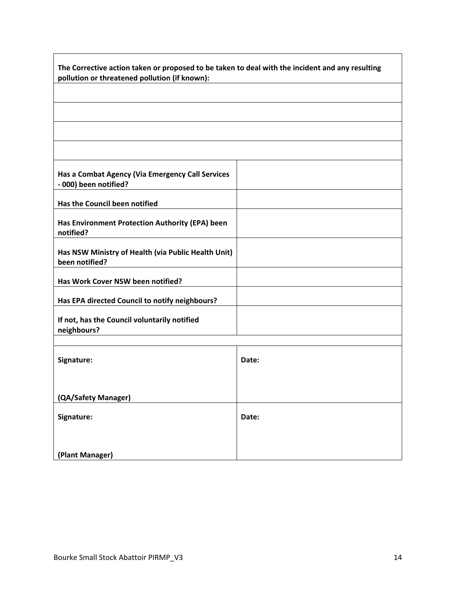| The Corrective action taken or proposed to be taken to deal with the incident and any resulting<br>pollution or threatened pollution (if known): |       |  |  |  |  |
|--------------------------------------------------------------------------------------------------------------------------------------------------|-------|--|--|--|--|
|                                                                                                                                                  |       |  |  |  |  |
|                                                                                                                                                  |       |  |  |  |  |
|                                                                                                                                                  |       |  |  |  |  |
|                                                                                                                                                  |       |  |  |  |  |
| Has a Combat Agency (Via Emergency Call Services<br>- 000) been notified?                                                                        |       |  |  |  |  |
| <b>Has the Council been notified</b>                                                                                                             |       |  |  |  |  |
| Has Environment Protection Authority (EPA) been<br>notified?                                                                                     |       |  |  |  |  |
| Has NSW Ministry of Health (via Public Health Unit)<br>been notified?                                                                            |       |  |  |  |  |
| Has Work Cover NSW been notified?                                                                                                                |       |  |  |  |  |
| Has EPA directed Council to notify neighbours?                                                                                                   |       |  |  |  |  |
| If not, has the Council voluntarily notified<br>neighbours?                                                                                      |       |  |  |  |  |
|                                                                                                                                                  |       |  |  |  |  |
| Signature:                                                                                                                                       | Date: |  |  |  |  |
|                                                                                                                                                  |       |  |  |  |  |
| (QA/Safety Manager)                                                                                                                              |       |  |  |  |  |
| Signature:                                                                                                                                       | Date: |  |  |  |  |
|                                                                                                                                                  |       |  |  |  |  |
| (Plant Manager)                                                                                                                                  |       |  |  |  |  |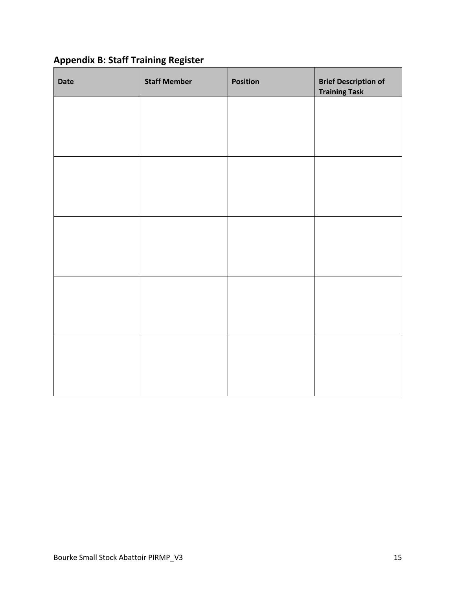## <span id="page-14-0"></span>**Appendix B: Staff Training Register**

| Date | <b>Staff Member</b> | <b>Position</b> | <b>Brief Description of</b><br><b>Training Task</b> |
|------|---------------------|-----------------|-----------------------------------------------------|
|      |                     |                 |                                                     |
|      |                     |                 |                                                     |
|      |                     |                 |                                                     |
|      |                     |                 |                                                     |
|      |                     |                 |                                                     |
|      |                     |                 |                                                     |
|      |                     |                 |                                                     |
|      |                     |                 |                                                     |
|      |                     |                 |                                                     |
|      |                     |                 |                                                     |